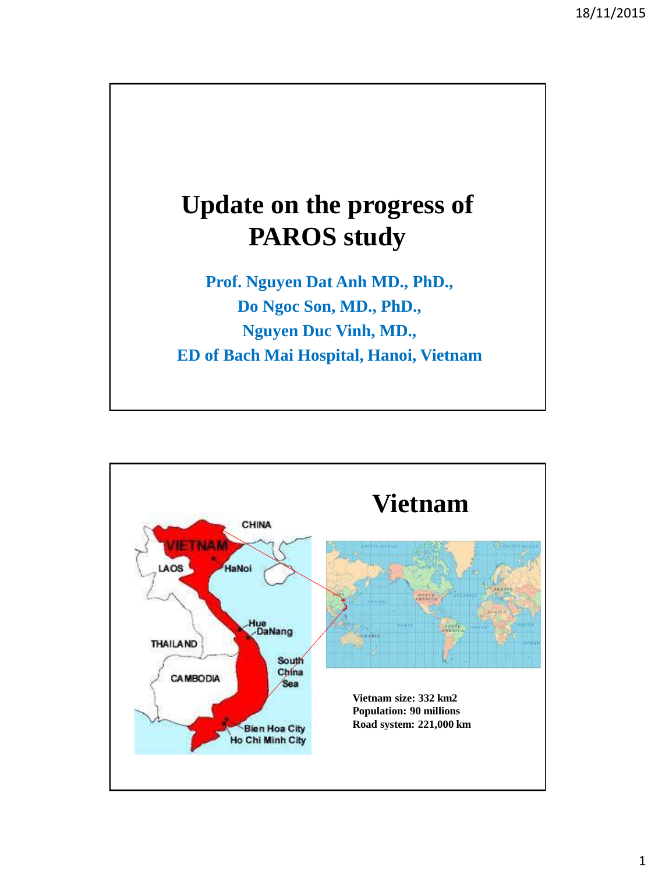

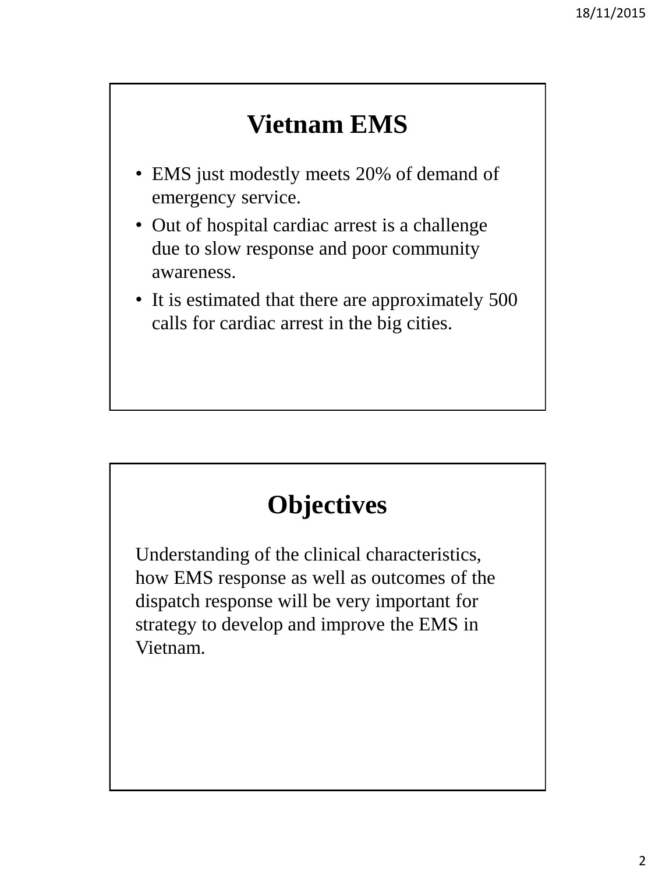#### **Vietnam EMS**

- EMS just modestly meets 20% of demand of emergency service.
- Out of hospital cardiac arrest is a challenge due to slow response and poor community awareness.
- It is estimated that there are approximately 500 calls for cardiac arrest in the big cities.

## **Objectives**

Understanding of the clinical characteristics, how EMS response as well as outcomes of the dispatch response will be very important for strategy to develop and improve the EMS in Vietnam.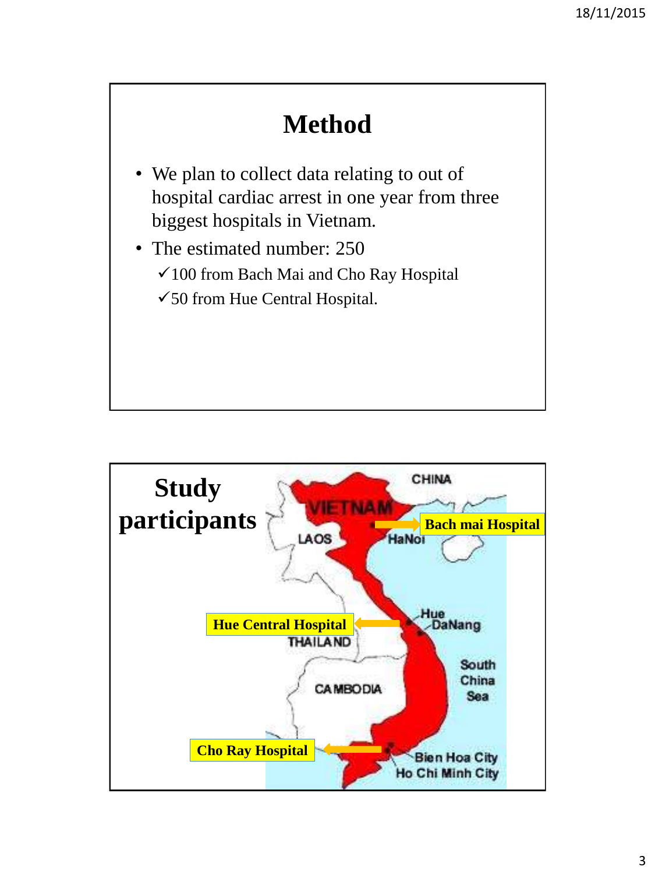# **Method**

- We plan to collect data relating to out of hospital cardiac arrest in one year from three biggest hospitals in Vietnam.
- The estimated number: 250
	- 100 from Bach Mai and Cho Ray Hospital
	- $\checkmark$  50 from Hue Central Hospital.

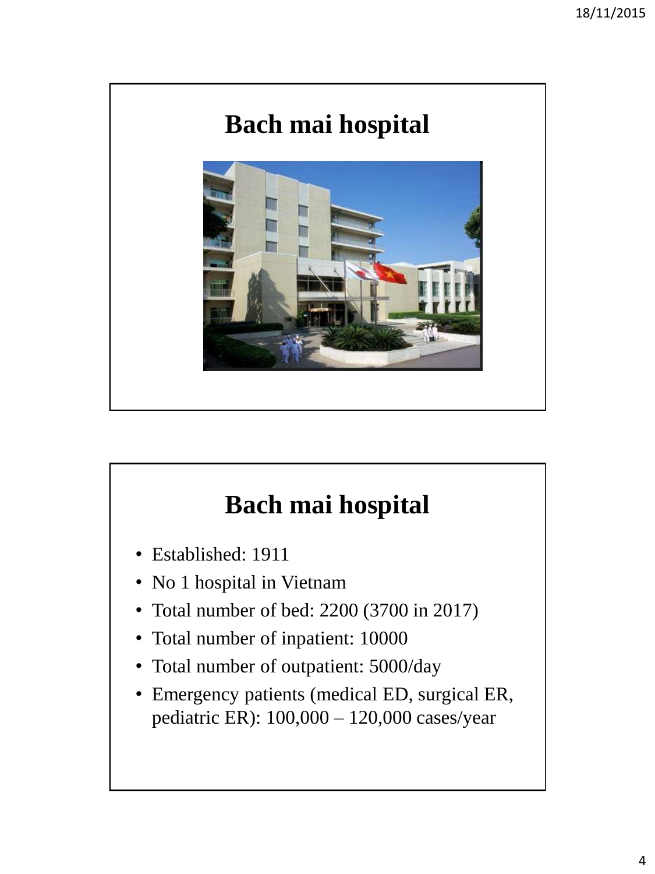

## **Bach mai hospital**

- Established: 1911
- No 1 hospital in Vietnam
- Total number of bed: 2200 (3700 in 2017)
- Total number of inpatient: 10000
- Total number of outpatient: 5000/day
- Emergency patients (medical ED, surgical ER, pediatric ER): 100,000 – 120,000 cases/year